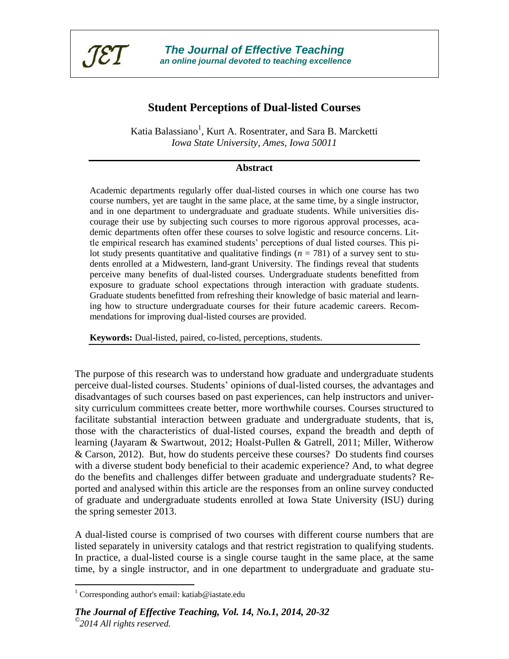

*The Journal of Effective Teaching an online journal devoted to teaching excellence*

# **Student Perceptions of Dual-listed Courses**

Katia Balassiano<sup>1</sup>, Kurt A. Rosentrater, and Sara B. Marcketti *Iowa State University, Ames, Iowa 50011*

#### **Abstract**

Academic departments regularly offer dual-listed courses in which one course has two course numbers, yet are taught in the same place, at the same time, by a single instructor, and in one department to undergraduate and graduate students. While universities discourage their use by subjecting such courses to more rigorous approval processes, academic departments often offer these courses to solve logistic and resource concerns. Little empirical research has examined students' perceptions of dual listed courses. This pilot study presents quantitative and qualitative findings ( $n = 781$ ) of a survey sent to students enrolled at a Midwestern, land-grant University. The findings reveal that students perceive many benefits of dual-listed courses. Undergraduate students benefitted from exposure to graduate school expectations through interaction with graduate students. Graduate students benefitted from refreshing their knowledge of basic material and learning how to structure undergraduate courses for their future academic careers. Recommendations for improving dual-listed courses are provided.

**Keywords:** Dual-listed, paired, co-listed, perceptions, students.

The purpose of this research was to understand how graduate and undergraduate students perceive dual-listed courses. Students' opinions of dual-listed courses, the advantages and disadvantages of such courses based on past experiences, can help instructors and university curriculum committees create better, more worthwhile courses. Courses structured to facilitate substantial interaction between graduate and undergraduate students, that is, those with the characteristics of dual-listed courses, expand the breadth and depth of learning (Jayaram & Swartwout, 2012; Hoalst-Pullen & Gatrell, 2011; Miller, Witherow & Carson, 2012). But, how do students perceive these courses? Do students find courses with a diverse student body beneficial to their academic experience? And, to what degree do the benefits and challenges differ between graduate and undergraduate students? Reported and analysed within this article are the responses from an online survey conducted of graduate and undergraduate students enrolled at Iowa State University (ISU) during the spring semester 2013.

A dual-listed course is comprised of two courses with different course numbers that are listed separately in university catalogs and that restrict registration to qualifying students. In practice, a dual-listed course is a single course taught in the same place, at the same time, by a single instructor, and in one department to undergraduate and graduate stu-

 $\overline{a}$ 

<sup>&</sup>lt;sup>1</sup> Corresponding author's email: katiab@iastate.edu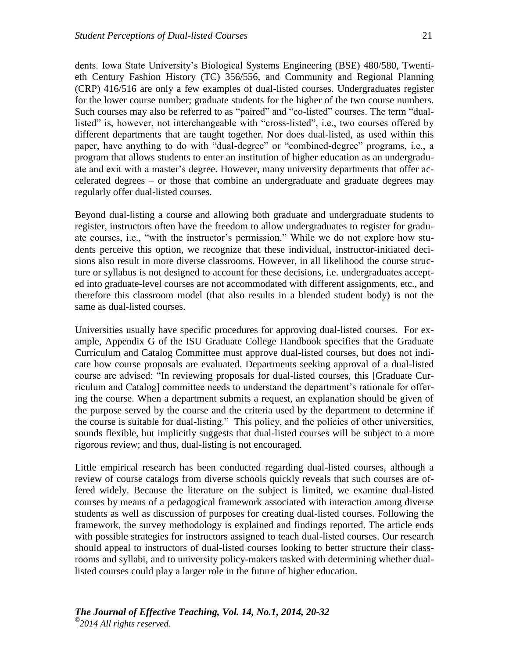dents. Iowa State University's Biological Systems Engineering (BSE) 480/580, Twentieth Century Fashion History (TC) 356/556, and Community and Regional Planning (CRP) 416/516 are only a few examples of dual-listed courses. Undergraduates register for the lower course number; graduate students for the higher of the two course numbers. Such courses may also be referred to as "paired" and "co-listed" courses. The term "duallisted" is, however, not interchangeable with "cross-listed", i.e., two courses offered by different departments that are taught together. Nor does dual-listed, as used within this paper, have anything to do with "dual-degree" or "combined-degree" programs, i.e., a program that allows students to enter an institution of higher education as an undergraduate and exit with a master's degree. However, many university departments that offer accelerated degrees – or those that combine an undergraduate and graduate degrees may regularly offer dual-listed courses.

Beyond dual-listing a course and allowing both graduate and undergraduate students to register, instructors often have the freedom to allow undergraduates to register for graduate courses, i.e., "with the instructor's permission." While we do not explore how students perceive this option, we recognize that these individual, instructor-initiated decisions also result in more diverse classrooms. However, in all likelihood the course structure or syllabus is not designed to account for these decisions, i.e. undergraduates accepted into graduate-level courses are not accommodated with different assignments, etc., and therefore this classroom model (that also results in a blended student body) is not the same as dual-listed courses.

Universities usually have specific procedures for approving dual-listed courses. For example, Appendix G of the ISU Graduate College Handbook specifies that the Graduate Curriculum and Catalog Committee must approve dual-listed courses, but does not indicate how course proposals are evaluated. Departments seeking approval of a dual-listed course are advised: "In reviewing proposals for dual-listed courses, this [Graduate Curriculum and Catalog] committee needs to understand the department's rationale for offering the course. When a department submits a request, an explanation should be given of the purpose served by the course and the criteria used by the department to determine if the course is suitable for dual-listing." This policy, and the policies of other universities, sounds flexible, but implicitly suggests that dual-listed courses will be subject to a more rigorous review; and thus, dual-listing is not encouraged.

Little empirical research has been conducted regarding dual-listed courses, although a review of course catalogs from diverse schools quickly reveals that such courses are offered widely. Because the literature on the subject is limited, we examine dual-listed courses by means of a pedagogical framework associated with interaction among diverse students as well as discussion of purposes for creating dual-listed courses. Following the framework, the survey methodology is explained and findings reported. The article ends with possible strategies for instructors assigned to teach dual-listed courses. Our research should appeal to instructors of dual-listed courses looking to better structure their classrooms and syllabi, and to university policy-makers tasked with determining whether duallisted courses could play a larger role in the future of higher education.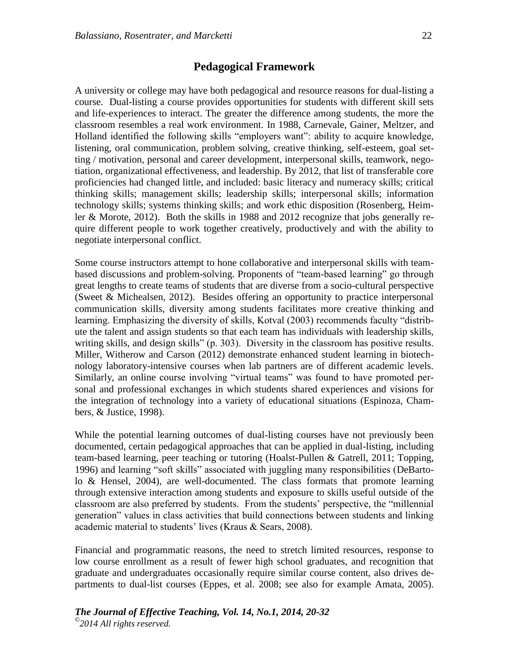## **Pedagogical Framework**

A university or college may have both pedagogical and resource reasons for dual-listing a course. Dual-listing a course provides opportunities for students with different skill sets and life-experiences to interact. The greater the difference among students, the more the classroom resembles a real work environment. In 1988, Carnevale, Gainer, Meltzer, and Holland identified the following skills "employers want": ability to acquire knowledge, listening, oral communication, problem solving, creative thinking, self-esteem, goal setting / motivation, personal and career development, interpersonal skills, teamwork, negotiation, organizational effectiveness, and leadership. By 2012, that list of transferable core proficiencies had changed little, and included: basic literacy and numeracy skills; critical thinking skills; management skills; leadership skills; interpersonal skills; information technology skills; systems thinking skills; and work ethic disposition (Rosenberg, Heimler & Morote, 2012). Both the skills in 1988 and 2012 recognize that jobs generally require different people to work together creatively, productively and with the ability to negotiate interpersonal conflict.

Some course instructors attempt to hone collaborative and interpersonal skills with teambased discussions and problem-solving. Proponents of "team-based learning" go through great lengths to create teams of students that are diverse from a socio-cultural perspective (Sweet & Michealsen, 2012). Besides offering an opportunity to practice interpersonal communication skills, diversity among students facilitates more creative thinking and learning. Emphasizing the diversity of skills, Kotval (2003) recommends faculty "distribute the talent and assign students so that each team has individuals with leadership skills, writing skills, and design skills" (p. 303). Diversity in the classroom has positive results. Miller, Witherow and Carson (2012) demonstrate enhanced student learning in biotechnology laboratory-intensive courses when lab partners are of different academic levels. Similarly, an online course involving "virtual teams" was found to have promoted personal and professional exchanges in which students shared experiences and visions for the integration of technology into a variety of educational situations (Espinoza, Chambers, & Justice, 1998).

While the potential learning outcomes of dual-listing courses have not previously been documented, certain pedagogical approaches that can be applied in dual-listing, including team-based learning, peer teaching or tutoring (Hoalst-Pullen & Gatrell, 2011; Topping, 1996) and learning "soft skills" associated with juggling many responsibilities (DeBartolo & Hensel, 2004), are well-documented. The class formats that promote learning through extensive interaction among students and exposure to skills useful outside of the classroom are also preferred by students. From the students' perspective, the "millennial generation" values in class activities that build connections between students and linking academic material to students' lives (Kraus & Sears, 2008).

Financial and programmatic reasons, the need to stretch limited resources, response to low course enrollment as a result of fewer high school graduates, and recognition that graduate and undergraduates occasionally require similar course content, also drives departments to dual-list courses (Eppes, et al. 2008; see also for example Amata, 2005).

```
The Journal of Effective Teaching, Vol. 14, No.1, 2014, 20-32
©
2014 All rights reserved.
```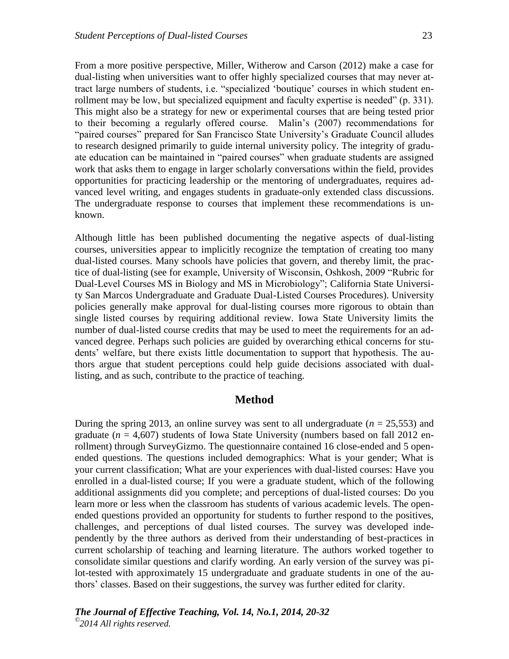From a more positive perspective, Miller, Witherow and Carson (2012) make a case for dual-listing when universities want to offer highly specialized courses that may never attract large numbers of students, i.e. "specialized 'boutique' courses in which student enrollment may be low, but specialized equipment and faculty expertise is needed" (p. 331). This might also be a strategy for new or experimental courses that are being tested prior to their becoming a regularly offered course. Malin's (2007) recommendations for "paired courses" prepared for San Francisco State University's Graduate Council alludes to research designed primarily to guide internal university policy. The integrity of graduate education can be maintained in "paired courses" when graduate students are assigned work that asks them to engage in larger scholarly conversations within the field, provides opportunities for practicing leadership or the mentoring of undergraduates, requires advanced level writing, and engages students in graduate-only extended class discussions. The undergraduate response to courses that implement these recommendations is unknown.

Although little has been published documenting the negative aspects of dual-listing courses, universities appear to implicitly recognize the temptation of creating too many dual-listed courses. Many schools have policies that govern, and thereby limit, the practice of dual-listing (see for example, University of Wisconsin, Oshkosh, 2009 "Rubric for Dual-Level Courses MS in Biology and MS in Microbiology"; California State University San Marcos Undergraduate and Graduate Dual-Listed Courses Procedures). University policies generally make approval for dual-listing courses more rigorous to obtain than single listed courses by requiring additional review. Iowa State University limits the number of dual-listed course credits that may be used to meet the requirements for an advanced degree. Perhaps such policies are guided by overarching ethical concerns for students' welfare, but there exists little documentation to support that hypothesis. The authors argue that student perceptions could help guide decisions associated with duallisting, and as such, contribute to the practice of teaching.

## **Method**

During the spring 2013, an online survey was sent to all undergraduate  $(n = 25,553)$  and graduate  $(n = 4,607)$  students of Iowa State University (numbers based on fall 2012 enrollment) through SurveyGizmo. The questionnaire contained 16 close-ended and 5 openended questions. The questions included demographics: What is your gender; What is your current classification; What are your experiences with dual-listed courses: Have you enrolled in a dual-listed course; If you were a graduate student, which of the following additional assignments did you complete; and perceptions of dual-listed courses: Do you learn more or less when the classroom has students of various academic levels. The openended questions provided an opportunity for students to further respond to the positives, challenges, and perceptions of dual listed courses. The survey was developed independently by the three authors as derived from their understanding of best-practices in current scholarship of teaching and learning literature. The authors worked together to consolidate similar questions and clarify wording. An early version of the survey was pilot-tested with approximately 15 undergraduate and graduate students in one of the authors' classes. Based on their suggestions, the survey was further edited for clarity.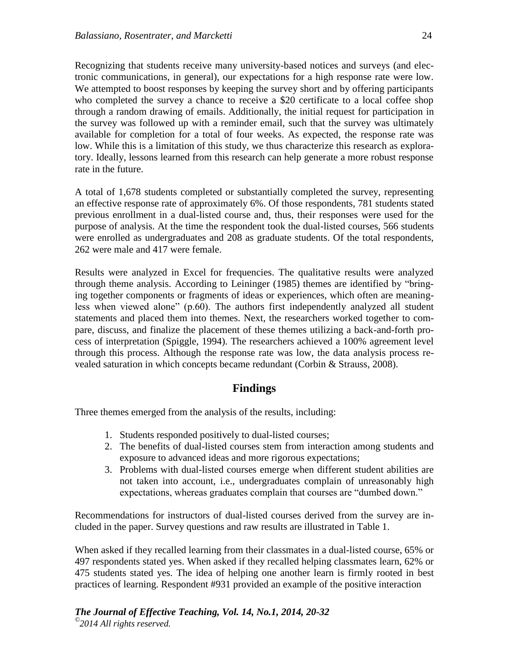Recognizing that students receive many university-based notices and surveys (and electronic communications, in general), our expectations for a high response rate were low. We attempted to boost responses by keeping the survey short and by offering participants who completed the survey a chance to receive a \$20 certificate to a local coffee shop through a random drawing of emails. Additionally, the initial request for participation in the survey was followed up with a reminder email, such that the survey was ultimately available for completion for a total of four weeks. As expected, the response rate was low. While this is a limitation of this study, we thus characterize this research as exploratory. Ideally, lessons learned from this research can help generate a more robust response rate in the future.

A total of 1,678 students completed or substantially completed the survey, representing an effective response rate of approximately 6%. Of those respondents, 781 students stated previous enrollment in a dual-listed course and, thus, their responses were used for the purpose of analysis. At the time the respondent took the dual-listed courses, 566 students were enrolled as undergraduates and 208 as graduate students. Of the total respondents, 262 were male and 417 were female.

Results were analyzed in Excel for frequencies. The qualitative results were analyzed through theme analysis. According to Leininger (1985) themes are identified by "bringing together components or fragments of ideas or experiences, which often are meaningless when viewed alone" (p.60). The authors first independently analyzed all student statements and placed them into themes. Next, the researchers worked together to compare, discuss, and finalize the placement of these themes utilizing a back-and-forth process of interpretation (Spiggle, 1994). The researchers achieved a 100% agreement level through this process. Although the response rate was low, the data analysis process revealed saturation in which concepts became redundant (Corbin & Strauss, 2008).

## **Findings**

Three themes emerged from the analysis of the results, including:

- 1. Students responded positively to dual-listed courses;
- 2. The benefits of dual-listed courses stem from interaction among students and exposure to advanced ideas and more rigorous expectations;
- 3. Problems with dual-listed courses emerge when different student abilities are not taken into account, i.e., undergraduates complain of unreasonably high expectations, whereas graduates complain that courses are "dumbed down."

Recommendations for instructors of dual-listed courses derived from the survey are included in the paper. Survey questions and raw results are illustrated in Table 1.

When asked if they recalled learning from their classmates in a dual-listed course, 65% or 497 respondents stated yes. When asked if they recalled helping classmates learn, 62% or 475 students stated yes. The idea of helping one another learn is firmly rooted in best practices of learning. Respondent #931 provided an example of the positive interaction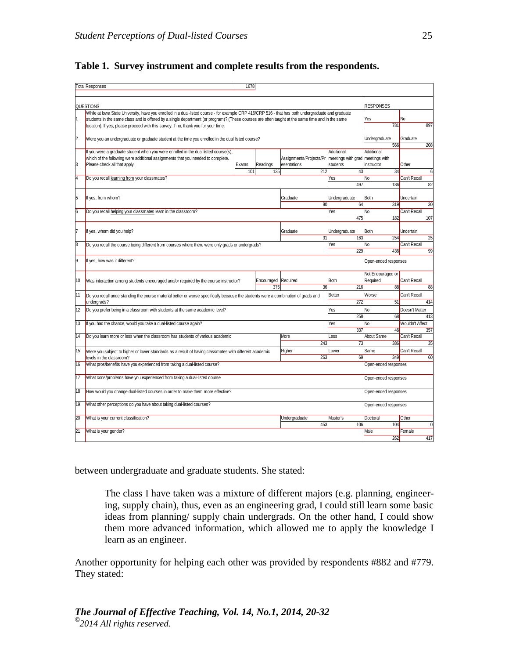|                                                                                                                                                          | <b>Total Responses</b>                                                                                                                                                                                                                                          | 1678  |            |                                        |                                              |                      |                       |  |
|----------------------------------------------------------------------------------------------------------------------------------------------------------|-----------------------------------------------------------------------------------------------------------------------------------------------------------------------------------------------------------------------------------------------------------------|-------|------------|----------------------------------------|----------------------------------------------|----------------------|-----------------------|--|
|                                                                                                                                                          |                                                                                                                                                                                                                                                                 |       |            |                                        |                                              |                      |                       |  |
| <b>QUESTIONS</b>                                                                                                                                         |                                                                                                                                                                                                                                                                 |       |            |                                        |                                              |                      | <b>RESPONSES</b>      |  |
| While at lowa State University, have you enrolled in a dual-listed course - for example CRP 416/CRP 516 - that has both undergraduate and graduate<br>l1 |                                                                                                                                                                                                                                                                 |       |            |                                        |                                              |                      | No                    |  |
|                                                                                                                                                          | students in the same class and is offered by a single department (or program)? (These courses are often taught at the same time and in the same<br>location). If yes, please proceed with this survey. If no, thank you for your time.                          |       |            |                                        |                                              |                      | 897                   |  |
|                                                                                                                                                          |                                                                                                                                                                                                                                                                 |       |            |                                        |                                              | 781                  |                       |  |
| $\overline{2}$                                                                                                                                           | Were you an undergraduate or graduate student at the time you enrolled in the dual listed course?                                                                                                                                                               |       |            |                                        |                                              | Undergraduate        | Graduate              |  |
|                                                                                                                                                          |                                                                                                                                                                                                                                                                 |       |            |                                        |                                              | 566                  | 208                   |  |
|                                                                                                                                                          | If you were a graduate student when you were enrolled in the dual listed course(s),                                                                                                                                                                             |       |            |                                        | Additional                                   | Additional           |                       |  |
| 3                                                                                                                                                        | which of the following were additional assignments that you needed to complete.<br>Please check all that apply.                                                                                                                                                 | Exams | Readings   | Assignments/Projects/Pr<br>esentations | meetings with grad meetings with<br>students | instructor           | Other                 |  |
|                                                                                                                                                          |                                                                                                                                                                                                                                                                 | 101   | 135        | 212                                    | 43                                           | 34                   | $6 \overline{6}$      |  |
| 4                                                                                                                                                        | Do you recall learning from your classmates?                                                                                                                                                                                                                    |       |            |                                        | Yes                                          | No                   | Can't Recall          |  |
|                                                                                                                                                          |                                                                                                                                                                                                                                                                 |       |            |                                        |                                              |                      | 82<br>186             |  |
|                                                                                                                                                          |                                                                                                                                                                                                                                                                 |       |            |                                        |                                              |                      |                       |  |
| 5                                                                                                                                                        | If yes, from whom?                                                                                                                                                                                                                                              |       |            | Graduate                               | Undergraduate                                | <b>Both</b>          | Uncertain             |  |
|                                                                                                                                                          |                                                                                                                                                                                                                                                                 |       |            | 80                                     | 64                                           | 319                  | 30                    |  |
| <sup>6</sup>                                                                                                                                             | Do you recall helping your classmates learn in the classroom?                                                                                                                                                                                                   |       |            |                                        | Yes<br>475                                   | No<br>182            | Can't Recall<br>107   |  |
|                                                                                                                                                          |                                                                                                                                                                                                                                                                 |       |            |                                        |                                              |                      |                       |  |
| l7                                                                                                                                                       | If yes, whom did you help?<br>Graduate<br>31                                                                                                                                                                                                                    |       |            |                                        | Undergraduate                                | <b>Both</b>          | Uncertain             |  |
|                                                                                                                                                          |                                                                                                                                                                                                                                                                 |       |            |                                        | 163                                          | 254                  | 25                    |  |
| $\overline{8}$                                                                                                                                           | Do you recall the course being different from courses where there were only grads or undergrads?<br>Yes<br>229                                                                                                                                                  |       |            |                                        |                                              | N <sub>o</sub>       | Can't Recall          |  |
|                                                                                                                                                          |                                                                                                                                                                                                                                                                 |       |            |                                        |                                              | 436                  | 99                    |  |
| 9                                                                                                                                                        | If yes, how was it different?                                                                                                                                                                                                                                   |       |            |                                        |                                              | Open-ended responses |                       |  |
|                                                                                                                                                          |                                                                                                                                                                                                                                                                 |       |            |                                        |                                              | Not Encouraged or    |                       |  |
| 10                                                                                                                                                       | Was interaction among students encouraged and/or required by the course instructor?                                                                                                                                                                             |       | Encouraged | Required                               | Both                                         | Required             | Can't Recall          |  |
|                                                                                                                                                          | 375<br>36<br>216                                                                                                                                                                                                                                                |       |            |                                        |                                              | 88                   | 88                    |  |
| 11                                                                                                                                                       | Better<br>Do you recall understanding the course material better or worse specifically because the students were a combination of grads and<br>272<br>undergrads?<br>Do you prefer being in a classroom with students at the same academic level?<br>Yes<br>258 |       |            |                                        |                                              | Worse<br>51          | Can't Recall<br>414   |  |
|                                                                                                                                                          |                                                                                                                                                                                                                                                                 |       |            |                                        |                                              |                      |                       |  |
| 12                                                                                                                                                       |                                                                                                                                                                                                                                                                 |       |            |                                        |                                              | N <sub>o</sub><br>68 | Doesn't Matter<br>413 |  |
| 13                                                                                                                                                       | If you had the chance, would you take a dual-listed course again?<br>Yes                                                                                                                                                                                        |       |            |                                        |                                              | N <sub>o</sub>       | Wouldn't Affect       |  |
|                                                                                                                                                          |                                                                                                                                                                                                                                                                 |       |            |                                        | 337                                          | 46                   | 357                   |  |
| $\overline{14}$                                                                                                                                          | Do you learn more or less when the classroom has students of various academic                                                                                                                                                                                   |       |            | More                                   | Less                                         | About Same           | Can't Recall          |  |
|                                                                                                                                                          |                                                                                                                                                                                                                                                                 |       |            | 243                                    | 73                                           | 386                  | 35                    |  |
| 15                                                                                                                                                       | Were you subject to higher or lower standards as a result of having classmates with different academic                                                                                                                                                          |       |            | Higher                                 | Lower                                        | Same                 | Can't Recall          |  |
|                                                                                                                                                          | levels in the classroom?                                                                                                                                                                                                                                        |       |            | 263                                    | 69                                           | 349                  | 60                    |  |
| 16                                                                                                                                                       | What pros/benefits have you experienced from taking a dual-listed course?                                                                                                                                                                                       |       |            |                                        |                                              | Open-ended responses |                       |  |
| $\overline{17}$                                                                                                                                          | What cons/problems have you experienced from taking a dual-listed course                                                                                                                                                                                        |       |            |                                        |                                              | Open-ended responses |                       |  |
| 18                                                                                                                                                       | How would you change dual-listed courses in order to make them more effective?                                                                                                                                                                                  |       |            |                                        |                                              | Open-ended responses |                       |  |
| 19                                                                                                                                                       | What other perceptions do you have about taking dual-listed courses?                                                                                                                                                                                            |       |            |                                        |                                              | Open-ended responses |                       |  |
| 20                                                                                                                                                       | What is your current classification?                                                                                                                                                                                                                            |       |            | Undergraduate                          | Master's                                     | Doctoral             | Other                 |  |
|                                                                                                                                                          |                                                                                                                                                                                                                                                                 |       |            | 453                                    | 106                                          | 104                  | $\overline{0}$        |  |
| 21                                                                                                                                                       | What is your gender?                                                                                                                                                                                                                                            |       |            |                                        |                                              | Male                 | Female                |  |
|                                                                                                                                                          |                                                                                                                                                                                                                                                                 |       |            |                                        |                                              | 262                  | 417                   |  |

## **Table 1. Survey instrument and complete results from the respondents.**

between undergraduate and graduate students. She stated:

The class I have taken was a mixture of different majors (e.g. planning, engineering, supply chain), thus, even as an engineering grad, I could still learn some basic ideas from planning/ supply chain undergrads. On the other hand, I could show them more advanced information, which allowed me to apply the knowledge I learn as an engineer.

Another opportunity for helping each other was provided by respondents #882 and #779. They stated: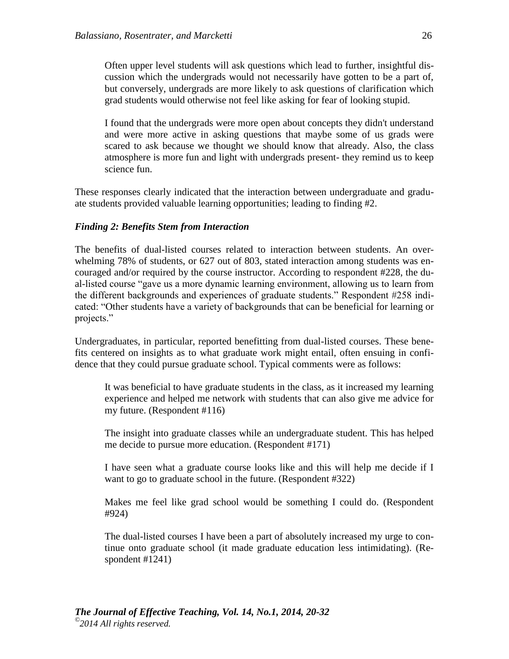Often upper level students will ask questions which lead to further, insightful discussion which the undergrads would not necessarily have gotten to be a part of, but conversely, undergrads are more likely to ask questions of clarification which grad students would otherwise not feel like asking for fear of looking stupid.

I found that the undergrads were more open about concepts they didn't understand and were more active in asking questions that maybe some of us grads were scared to ask because we thought we should know that already. Also, the class atmosphere is more fun and light with undergrads present- they remind us to keep science fun.

These responses clearly indicated that the interaction between undergraduate and graduate students provided valuable learning opportunities; leading to finding #2.

## *Finding 2: Benefits Stem from Interaction*

The benefits of dual-listed courses related to interaction between students. An overwhelming 78% of students, or 627 out of 803, stated interaction among students was encouraged and/or required by the course instructor. According to respondent #228, the dual-listed course "gave us a more dynamic learning environment, allowing us to learn from the different backgrounds and experiences of graduate students." Respondent #258 indicated: "Other students have a variety of backgrounds that can be beneficial for learning or projects."

Undergraduates, in particular, reported benefitting from dual-listed courses. These benefits centered on insights as to what graduate work might entail, often ensuing in confidence that they could pursue graduate school. Typical comments were as follows:

It was beneficial to have graduate students in the class, as it increased my learning experience and helped me network with students that can also give me advice for my future. (Respondent #116)

The insight into graduate classes while an undergraduate student. This has helped me decide to pursue more education. (Respondent #171)

I have seen what a graduate course looks like and this will help me decide if I want to go to graduate school in the future. (Respondent #322)

Makes me feel like grad school would be something I could do. (Respondent #924)

The dual-listed courses I have been a part of absolutely increased my urge to continue onto graduate school (it made graduate education less intimidating). (Respondent #1241)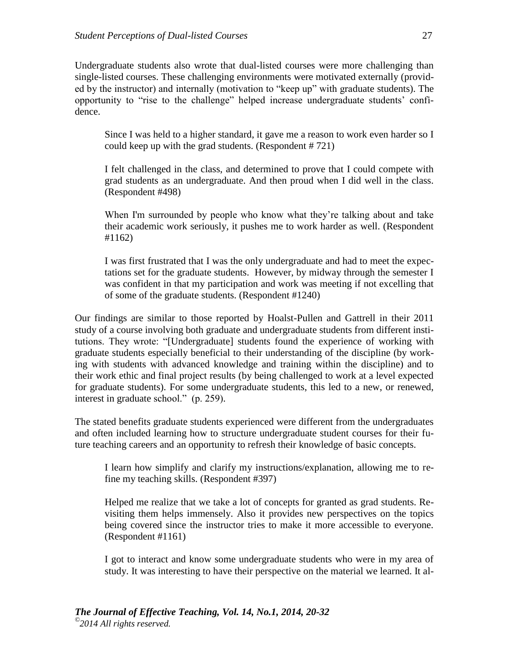Undergraduate students also wrote that dual-listed courses were more challenging than single-listed courses. These challenging environments were motivated externally (provided by the instructor) and internally (motivation to "keep up" with graduate students). The opportunity to "rise to the challenge" helped increase undergraduate students' confidence.

Since I was held to a higher standard, it gave me a reason to work even harder so I could keep up with the grad students. (Respondent # 721)

I felt challenged in the class, and determined to prove that I could compete with grad students as an undergraduate. And then proud when I did well in the class. (Respondent #498)

When I'm surrounded by people who know what they're talking about and take their academic work seriously, it pushes me to work harder as well. (Respondent #1162)

I was first frustrated that I was the only undergraduate and had to meet the expectations set for the graduate students. However, by midway through the semester I was confident in that my participation and work was meeting if not excelling that of some of the graduate students. (Respondent #1240)

Our findings are similar to those reported by Hoalst-Pullen and Gattrell in their 2011 study of a course involving both graduate and undergraduate students from different institutions. They wrote: "[Undergraduate] students found the experience of working with graduate students especially beneficial to their understanding of the discipline (by working with students with advanced knowledge and training within the discipline) and to their work ethic and final project results (by being challenged to work at a level expected for graduate students). For some undergraduate students, this led to a new, or renewed, interest in graduate school." (p. 259).

The stated benefits graduate students experienced were different from the undergraduates and often included learning how to structure undergraduate student courses for their future teaching careers and an opportunity to refresh their knowledge of basic concepts.

I learn how simplify and clarify my instructions/explanation, allowing me to refine my teaching skills. (Respondent #397)

Helped me realize that we take a lot of concepts for granted as grad students. Revisiting them helps immensely. Also it provides new perspectives on the topics being covered since the instructor tries to make it more accessible to everyone. (Respondent #1161)

I got to interact and know some undergraduate students who were in my area of study. It was interesting to have their perspective on the material we learned. It al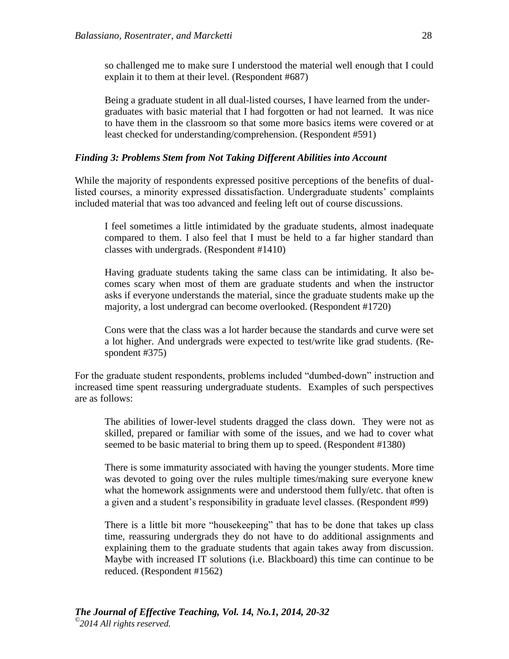so challenged me to make sure I understood the material well enough that I could explain it to them at their level. (Respondent #687)

Being a graduate student in all dual-listed courses, I have learned from the undergraduates with basic material that I had forgotten or had not learned. It was nice to have them in the classroom so that some more basics items were covered or at least checked for understanding/comprehension. (Respondent #591)

#### *Finding 3: Problems Stem from Not Taking Different Abilities into Account*

While the majority of respondents expressed positive perceptions of the benefits of duallisted courses, a minority expressed dissatisfaction. Undergraduate students' complaints included material that was too advanced and feeling left out of course discussions.

I feel sometimes a little intimidated by the graduate students, almost inadequate compared to them. I also feel that I must be held to a far higher standard than classes with undergrads. (Respondent #1410)

Having graduate students taking the same class can be intimidating. It also becomes scary when most of them are graduate students and when the instructor asks if everyone understands the material, since the graduate students make up the majority, a lost undergrad can become overlooked. (Respondent #1720)

Cons were that the class was a lot harder because the standards and curve were set a lot higher. And undergrads were expected to test/write like grad students. (Respondent #375)

For the graduate student respondents, problems included "dumbed-down" instruction and increased time spent reassuring undergraduate students. Examples of such perspectives are as follows:

The abilities of lower-level students dragged the class down. They were not as skilled, prepared or familiar with some of the issues, and we had to cover what seemed to be basic material to bring them up to speed. (Respondent #1380)

There is some immaturity associated with having the younger students. More time was devoted to going over the rules multiple times/making sure everyone knew what the homework assignments were and understood them fully/etc. that often is a given and a student's responsibility in graduate level classes. (Respondent #99)

There is a little bit more "housekeeping" that has to be done that takes up class time, reassuring undergrads they do not have to do additional assignments and explaining them to the graduate students that again takes away from discussion. Maybe with increased IT solutions (i.e. Blackboard) this time can continue to be reduced. (Respondent #1562)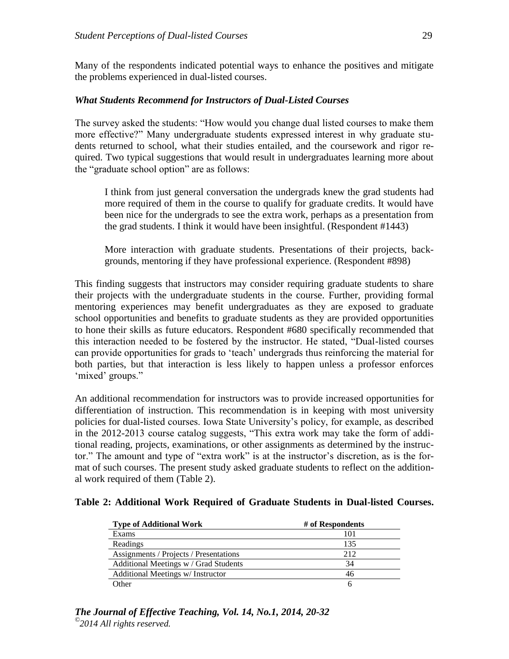Many of the respondents indicated potential ways to enhance the positives and mitigate the problems experienced in dual-listed courses.

### *What Students Recommend for Instructors of Dual-Listed Courses*

The survey asked the students: "How would you change dual listed courses to make them more effective?" Many undergraduate students expressed interest in why graduate students returned to school, what their studies entailed, and the coursework and rigor required. Two typical suggestions that would result in undergraduates learning more about the "graduate school option" are as follows:

I think from just general conversation the undergrads knew the grad students had more required of them in the course to qualify for graduate credits. It would have been nice for the undergrads to see the extra work, perhaps as a presentation from the grad students. I think it would have been insightful. (Respondent #1443)

More interaction with graduate students. Presentations of their projects, backgrounds, mentoring if they have professional experience. (Respondent #898)

This finding suggests that instructors may consider requiring graduate students to share their projects with the undergraduate students in the course. Further, providing formal mentoring experiences may benefit undergraduates as they are exposed to graduate school opportunities and benefits to graduate students as they are provided opportunities to hone their skills as future educators. Respondent #680 specifically recommended that this interaction needed to be fostered by the instructor. He stated, "Dual-listed courses can provide opportunities for grads to 'teach' undergrads thus reinforcing the material for both parties, but that interaction is less likely to happen unless a professor enforces 'mixed' groups."

An additional recommendation for instructors was to provide increased opportunities for differentiation of instruction. This recommendation is in keeping with most university policies for dual-listed courses. Iowa State University's policy, for example, as described in the 2012-2013 course catalog suggests, "This extra work may take the form of additional reading, projects, examinations, or other assignments as determined by the instructor." The amount and type of "extra work" is at the instructor's discretion, as is the format of such courses. The present study asked graduate students to reflect on the additional work required of them (Table 2).

#### **Table 2: Additional Work Required of Graduate Students in Dual-listed Courses.**

| <b>Type of Additional Work</b>         | # of Respondents |
|----------------------------------------|------------------|
| Exams                                  | 101              |
| Readings                               | 135              |
| Assignments / Projects / Presentations | 212              |
| Additional Meetings w / Grad Students  | 34               |
| Additional Meetings w/ Instructor      | 46               |
| Other                                  | h                |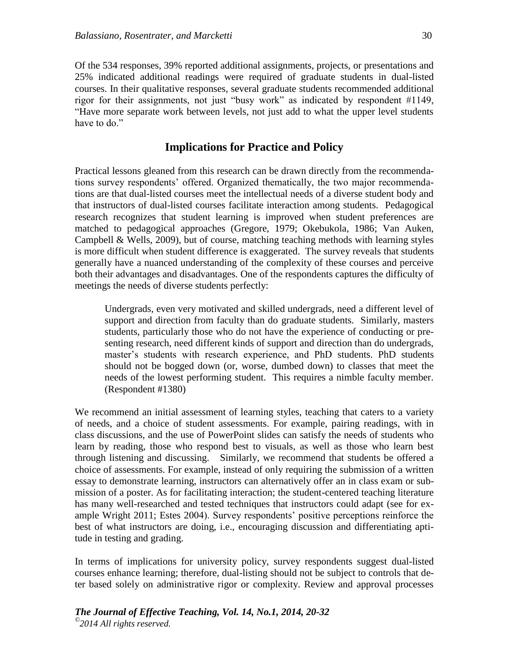Of the 534 responses, 39% reported additional assignments, projects, or presentations and 25% indicated additional readings were required of graduate students in dual-listed courses. In their qualitative responses, several graduate students recommended additional rigor for their assignments, not just "busy work" as indicated by respondent #1149, "Have more separate work between levels, not just add to what the upper level students have to do."

# **Implications for Practice and Policy**

Practical lessons gleaned from this research can be drawn directly from the recommendations survey respondents' offered. Organized thematically, the two major recommendations are that dual-listed courses meet the intellectual needs of a diverse student body and that instructors of dual-listed courses facilitate interaction among students. Pedagogical research recognizes that student learning is improved when student preferences are matched to pedagogical approaches (Gregore, 1979; Okebukola, 1986; Van Auken, Campbell & Wells, 2009), but of course, matching teaching methods with learning styles is more difficult when student difference is exaggerated. The survey reveals that students generally have a nuanced understanding of the complexity of these courses and perceive both their advantages and disadvantages. One of the respondents captures the difficulty of meetings the needs of diverse students perfectly:

Undergrads, even very motivated and skilled undergrads, need a different level of support and direction from faculty than do graduate students. Similarly, masters students, particularly those who do not have the experience of conducting or presenting research, need different kinds of support and direction than do undergrads, master's students with research experience, and PhD students. PhD students should not be bogged down (or, worse, dumbed down) to classes that meet the needs of the lowest performing student. This requires a nimble faculty member. (Respondent #1380)

We recommend an initial assessment of learning styles, teaching that caters to a variety of needs, and a choice of student assessments. For example, pairing readings, with in class discussions, and the use of PowerPoint slides can satisfy the needs of students who learn by reading, those who respond best to visuals, as well as those who learn best through listening and discussing. Similarly, we recommend that students be offered a choice of assessments. For example, instead of only requiring the submission of a written essay to demonstrate learning, instructors can alternatively offer an in class exam or submission of a poster. As for facilitating interaction; the student-centered teaching literature has many well-researched and tested techniques that instructors could adapt (see for example Wright 2011; Estes 2004). Survey respondents' positive perceptions reinforce the best of what instructors are doing, i.e., encouraging discussion and differentiating aptitude in testing and grading.

In terms of implications for university policy, survey respondents suggest dual-listed courses enhance learning; therefore, dual-listing should not be subject to controls that deter based solely on administrative rigor or complexity. Review and approval processes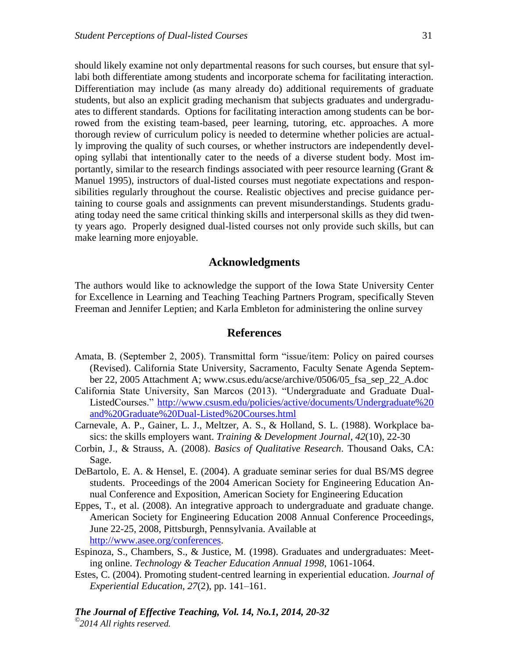should likely examine not only departmental reasons for such courses, but ensure that syllabi both differentiate among students and incorporate schema for facilitating interaction. Differentiation may include (as many already do) additional requirements of graduate students, but also an explicit grading mechanism that subjects graduates and undergraduates to different standards. Options for facilitating interaction among students can be borrowed from the existing team-based, peer learning, tutoring, etc. approaches. A more thorough review of curriculum policy is needed to determine whether policies are actually improving the quality of such courses, or whether instructors are independently developing syllabi that intentionally cater to the needs of a diverse student body. Most importantly, similar to the research findings associated with peer resource learning (Grant & Manuel 1995), instructors of dual-listed courses must negotiate expectations and responsibilities regularly throughout the course. Realistic objectives and precise guidance pertaining to course goals and assignments can prevent misunderstandings. Students graduating today need the same critical thinking skills and interpersonal skills as they did twenty years ago. Properly designed dual-listed courses not only provide such skills, but can make learning more enjoyable.

### **Acknowledgments**

The authors would like to acknowledge the support of the Iowa State University Center for Excellence in Learning and Teaching Teaching Partners Program, specifically Steven Freeman and Jennifer Leptien; and Karla Embleton for administering the online survey

## **References**

- Amata, B. (September 2, 2005). Transmittal form "issue/item: Policy on paired courses (Revised). California State University, Sacramento, Faculty Senate Agenda September 22, 2005 Attachment A; www.csus.edu/acse/archive/0506/05\_fsa\_sep\_22\_A.doc
- California State University, San Marcos (2013). "Undergraduate and Graduate Dual-ListedCourses." [http://www.csusm.edu/policies/active/documents/Undergraduate%20](http://www.csusm.edu/policies/active/documents/Undergraduate%20%0band%20Graduate%20Dual-Listed%20Courses.html) [and%20Graduate%20Dual-Listed%20Courses.html](http://www.csusm.edu/policies/active/documents/Undergraduate%20%0band%20Graduate%20Dual-Listed%20Courses.html)
- Carnevale, A. P., Gainer, L. J., Meltzer, A. S., & Holland, S. L. (1988). Workplace basics: the skills employers want. *Training & Development Journal*, *42*(10), 22-30
- Corbin, J., & Strauss, A. (2008). *Basics of Qualitative Research*. Thousand Oaks, CA: Sage.
- DeBartolo, E. A. & Hensel, E. (2004). A graduate seminar series for dual BS/MS degree students. Proceedings of the 2004 American Society for Engineering Education Annual Conference and Exposition, American Society for Engineering Education
- Eppes, T., et al. (2008). An integrative approach to undergraduate and graduate change. American Society for Engineering Education 2008 Annual Conference Proceedings, June 22-25, 2008, Pittsburgh, Pennsylvania. Available at [http://www.asee.org/conferences.](http://www.asee.org/conferences)
- Espinoza, S., Chambers, S., & Justice, M. (1998). Graduates and undergraduates: Meeting online. *Technology & Teacher Education Annual 1998*, 1061-1064.
- Estes, C. (2004). Promoting student-centred learning in experiential education. *Journal of Experiential Education, 27*(2), pp. 141–161.